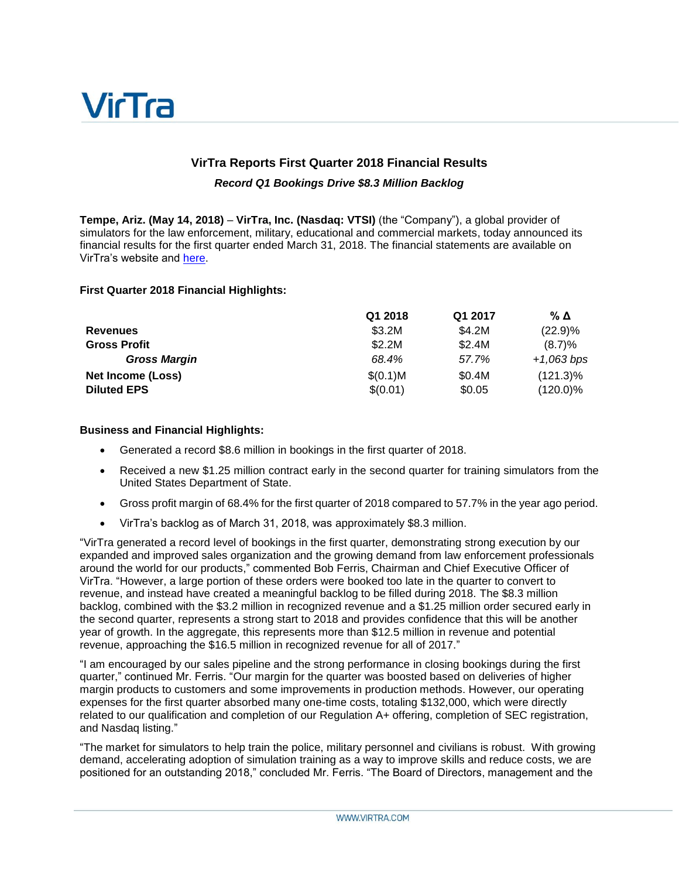

# **VirTra Reports First Quarter 2018 Financial Results**

#### *Record Q1 Bookings Drive \$8.3 Million Backlog*

**Tempe, Ariz. (May 14, 2018)** – **VirTra, Inc. (Nasdaq: VTSI)** (the "Company"), a global provider of simulators for the law enforcement, military, educational and commercial markets, today announced its financial results for the first quarter ended March 31, 2018. The financial statements are available on VirTra's website and [here.](https://www.sec.gov/cgi-bin/browse-edgar?action=getcompany&CIK=0001085243&owner=exclude&count=40&hidefilings=0)

#### **First Quarter 2018 Financial Highlights:**

|                     | Q1 2018  | Q1 2017 | % Δ          |
|---------------------|----------|---------|--------------|
| <b>Revenues</b>     | \$3.2M   | \$4.2M  | (22.9)%      |
| <b>Gross Profit</b> | \$2.2M   | \$2.4M  | (8.7)%       |
| <b>Gross Margin</b> | 68.4%    | 57.7%   | $+1,063 bps$ |
| Net Income (Loss)   | \$(0.1)M | \$0.4M  | $(121.3)\%$  |
| <b>Diluted EPS</b>  | \$(0.01) | \$0.05  | $(120.0)\%$  |

#### **Business and Financial Highlights:**

- Generated a record \$8.6 million in bookings in the first quarter of 2018.
- Received a new \$1.25 million contract early in the second quarter for training simulators from the United States Department of State.
- Gross profit margin of 68.4% for the first quarter of 2018 compared to 57.7% in the year ago period.
- VirTra's backlog as of March 31, 2018, was approximately \$8.3 million.

"VirTra generated a record level of bookings in the first quarter, demonstrating strong execution by our expanded and improved sales organization and the growing demand from law enforcement professionals around the world for our products," commented Bob Ferris, Chairman and Chief Executive Officer of VirTra. "However, a large portion of these orders were booked too late in the quarter to convert to revenue, and instead have created a meaningful backlog to be filled during 2018. The \$8.3 million backlog, combined with the \$3.2 million in recognized revenue and a \$1.25 million order secured early in the second quarter, represents a strong start to 2018 and provides confidence that this will be another year of growth. In the aggregate, this represents more than \$12.5 million in revenue and potential revenue, approaching the \$16.5 million in recognized revenue for all of 2017."

"I am encouraged by our sales pipeline and the strong performance in closing bookings during the first quarter," continued Mr. Ferris. "Our margin for the quarter was boosted based on deliveries of higher margin products to customers and some improvements in production methods. However, our operating expenses for the first quarter absorbed many one-time costs, totaling \$132,000, which were directly related to our qualification and completion of our Regulation A+ offering, completion of SEC registration, and Nasdaq listing."

"The market for simulators to help train the police, military personnel and civilians is robust. With growing demand, accelerating adoption of simulation training as a way to improve skills and reduce costs, we are positioned for an outstanding 2018," concluded Mr. Ferris. "The Board of Directors, management and the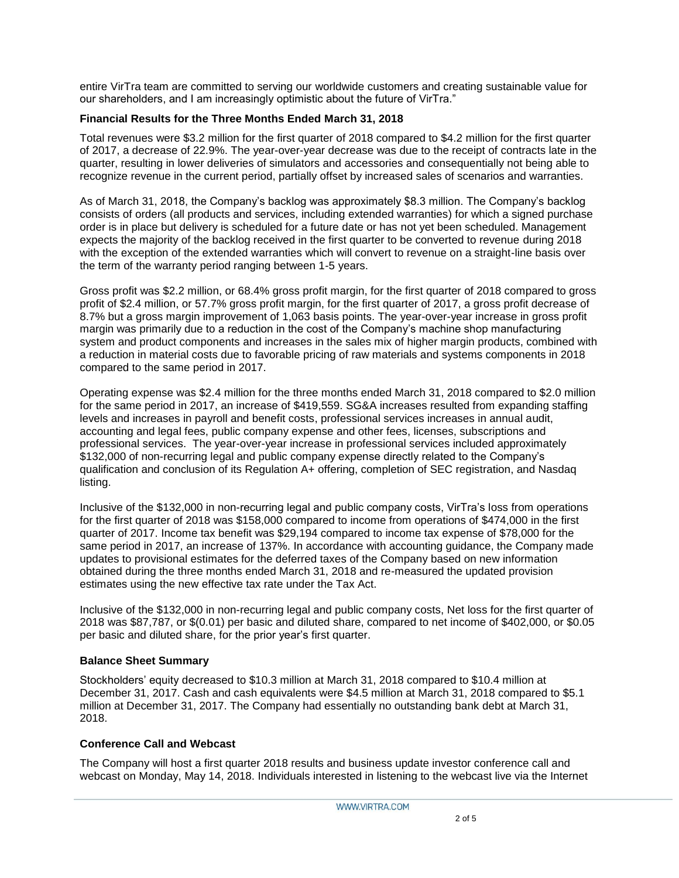entire VirTra team are committed to serving our worldwide customers and creating sustainable value for our shareholders, and I am increasingly optimistic about the future of VirTra."

### **Financial Results for the Three Months Ended March 31, 2018**

Total revenues were \$3.2 million for the first quarter of 2018 compared to \$4.2 million for the first quarter of 2017, a decrease of 22.9%. The year-over-year decrease was due to the receipt of contracts late in the quarter, resulting in lower deliveries of simulators and accessories and consequentially not being able to recognize revenue in the current period, partially offset by increased sales of scenarios and warranties.

As of March 31, 2018, the Company's backlog was approximately \$8.3 million. The Company's backlog consists of orders (all products and services, including extended warranties) for which a signed purchase order is in place but delivery is scheduled for a future date or has not yet been scheduled. Management expects the majority of the backlog received in the first quarter to be converted to revenue during 2018 with the exception of the extended warranties which will convert to revenue on a straight-line basis over the term of the warranty period ranging between 1-5 years.

Gross profit was \$2.2 million, or 68.4% gross profit margin, for the first quarter of 2018 compared to gross profit of \$2.4 million, or 57.7% gross profit margin, for the first quarter of 2017, a gross profit decrease of 8.7% but a gross margin improvement of 1,063 basis points. The year-over-year increase in gross profit margin was primarily due to a reduction in the cost of the Company's machine shop manufacturing system and product components and increases in the sales mix of higher margin products, combined with a reduction in material costs due to favorable pricing of raw materials and systems components in 2018 compared to the same period in 2017.

Operating expense was \$2.4 million for the three months ended March 31, 2018 compared to \$2.0 million for the same period in 2017, an increase of \$419,559. SG&A increases resulted from expanding staffing levels and increases in payroll and benefit costs, professional services increases in annual audit, accounting and legal fees, public company expense and other fees, licenses, subscriptions and professional services. The year-over-year increase in professional services included approximately \$132,000 of non-recurring legal and public company expense directly related to the Company's qualification and conclusion of its Regulation A+ offering, completion of SEC registration, and Nasdaq listing.

Inclusive of the \$132,000 in non-recurring legal and public company costs, VirTra's loss from operations for the first quarter of 2018 was \$158,000 compared to income from operations of \$474,000 in the first quarter of 2017. Income tax benefit was \$29,194 compared to income tax expense of \$78,000 for the same period in 2017, an increase of 137%. In accordance with accounting guidance, the Company made updates to provisional estimates for the deferred taxes of the Company based on new information obtained during the three months ended March 31, 2018 and re-measured the updated provision estimates using the new effective tax rate under the Tax Act.

Inclusive of the \$132,000 in non-recurring legal and public company costs, Net loss for the first quarter of 2018 was \$87,787, or \$(0.01) per basic and diluted share, compared to net income of \$402,000, or \$0.05 per basic and diluted share, for the prior year's first quarter.

#### **Balance Sheet Summary**

Stockholders' equity decreased to \$10.3 million at March 31, 2018 compared to \$10.4 million at December 31, 2017. Cash and cash equivalents were \$4.5 million at March 31, 2018 compared to \$5.1 million at December 31, 2017. The Company had essentially no outstanding bank debt at March 31, 2018.

#### **Conference Call and Webcast**

The Company will host a first quarter 2018 results and business update investor conference call and webcast on Monday, May 14, 2018. Individuals interested in listening to the webcast live via the Internet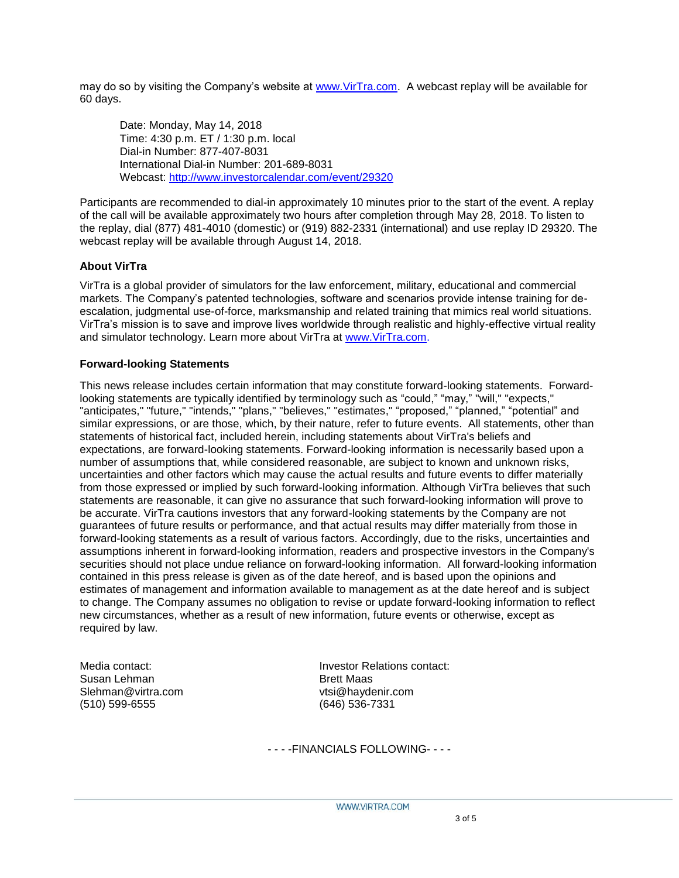may do so by visiting the Company's website at [www.VirTra.com.](http://www.virtra.com/) A webcast replay will be available for 60 days.

Date: Monday, May 14, 2018 Time: 4:30 p.m. ET / 1:30 p.m. local Dial-in Number: 877-407-8031 International Dial-in Number: 201-689-8031 Webcast:<http://www.investorcalendar.com/event/29320>

Participants are recommended to dial-in approximately 10 minutes prior to the start of the event. A replay of the call will be available approximately two hours after completion through May 28, 2018. To listen to the replay, dial (877) 481-4010 (domestic) or (919) 882-2331 (international) and use replay ID 29320. The webcast replay will be available through August 14, 2018.

## **About VirTra**

VirTra is a global provider of simulators for the law enforcement, military, educational and commercial markets. The Company's patented technologies, software and scenarios provide intense training for deescalation, judgmental use-of-force, marksmanship and related training that mimics real world situations. VirTra's mission is to save and improve lives worldwide through realistic and highly-effective virtual reality and simulator technology. Learn more about VirTra at [www.VirTra.com.](http://www.virtra.com/)

#### **Forward-looking Statements**

This news release includes certain information that may constitute forward-looking statements. Forwardlooking statements are typically identified by terminology such as "could," "may," "will," "expects," "anticipates," "future," "intends," "plans," "believes," "estimates," "proposed," "planned," "potential" and similar expressions, or are those, which, by their nature, refer to future events. All statements, other than statements of historical fact, included herein, including statements about VirTra's beliefs and expectations, are forward-looking statements. Forward-looking information is necessarily based upon a number of assumptions that, while considered reasonable, are subject to known and unknown risks, uncertainties and other factors which may cause the actual results and future events to differ materially from those expressed or implied by such forward-looking information. Although VirTra believes that such statements are reasonable, it can give no assurance that such forward-looking information will prove to be accurate. VirTra cautions investors that any forward-looking statements by the Company are not guarantees of future results or performance, and that actual results may differ materially from those in forward-looking statements as a result of various factors. Accordingly, due to the risks, uncertainties and assumptions inherent in forward-looking information, readers and prospective investors in the Company's securities should not place undue reliance on forward-looking information. All forward-looking information contained in this press release is given as of the date hereof, and is based upon the opinions and estimates of management and information available to management as at the date hereof and is subject to change. The Company assumes no obligation to revise or update forward-looking information to reflect new circumstances, whether as a result of new information, future events or otherwise, except as required by law.

Susan Lehman Brett Maas Slehman@virtra.com vtsi@haydenir.com (510) 599-6555 (646) 536-7331

Media contact: Investor Relations contact:

- - - -FINANCIALS FOLLOWING- - - -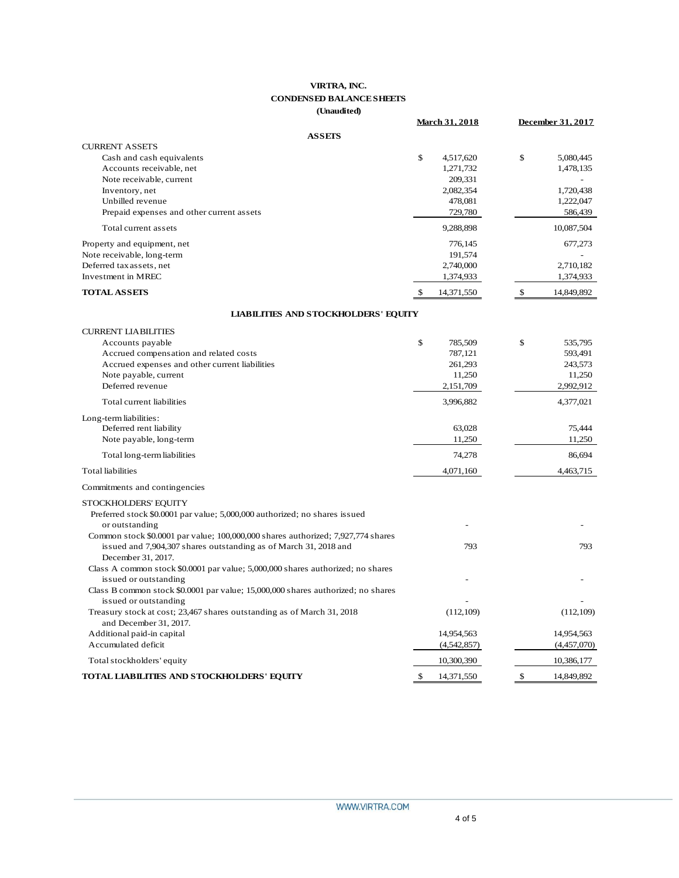#### **VIRTRA, INC. CONDENSED BALANCE SHEETS (Unaudited)**

|                                                                                                                                                      | <b>March 31, 2018</b> | December 31, 2017 |
|------------------------------------------------------------------------------------------------------------------------------------------------------|-----------------------|-------------------|
| <b>ASSEIS</b>                                                                                                                                        |                       |                   |
| <b>CURRENT ASSETS</b><br>Cash and cash equivalents                                                                                                   | \$<br>4,517,620       | \$<br>5,080,445   |
| Accounts receivable, net                                                                                                                             | 1,271,732             | 1,478,135         |
| Note receivable, current                                                                                                                             | 209,331               |                   |
| Inventory, net                                                                                                                                       | 2,082,354             | 1,720,438         |
| Unbilled revenue                                                                                                                                     | 478,081               | 1,222,047         |
| Prepaid expenses and other current assets                                                                                                            | 729,780               | 586,439           |
| Total current assets                                                                                                                                 | 9,288,898             | 10,087,504        |
| Property and equipment, net                                                                                                                          | 776,145               | 677,273           |
| Note receivable, long-term                                                                                                                           | 191,574               |                   |
| Deferred tax assets, net                                                                                                                             | 2,740,000             | 2,710,182         |
| Investment in MREC                                                                                                                                   | 1,374,933             | 1,374,933         |
| <b>TOTAL ASSETS</b>                                                                                                                                  | \$<br>14,371,550      | \$<br>14,849,892  |
| <b>LIABILITIES AND STOCKHOLDERS' EQUITY</b>                                                                                                          |                       |                   |
| <b>CURRENT LIABILITIES</b>                                                                                                                           |                       |                   |
| Accounts payable                                                                                                                                     | \$<br>785,509         | \$<br>535,795     |
| Accrued compensation and related costs                                                                                                               | 787,121               | 593,491           |
| Accrued expenses and other current liabilities                                                                                                       | 261,293               | 243,573           |
| Note payable, current                                                                                                                                | 11,250                | 11,250            |
| Deferred revenue                                                                                                                                     | 2,151,709             | 2,992,912         |
| Total current liabilities                                                                                                                            | 3,996,882             | 4,377,021         |
| Long-term liabilities:                                                                                                                               |                       |                   |
| Deferred rent liability                                                                                                                              | 63,028                | 75,444            |
| Note payable, long-term                                                                                                                              | 11,250                | 11,250            |
| Total long-term liabilities                                                                                                                          | 74,278                | 86,694            |
| <b>Total liabilities</b>                                                                                                                             | 4,071,160             | 4,463,715         |
| Commitments and contingencies                                                                                                                        |                       |                   |
| STOCKHOLDERS' EQUITY                                                                                                                                 |                       |                   |
| Preferred stock \$0.0001 par value; 5,000,000 authorized; no shares issued                                                                           |                       |                   |
| or outstanding                                                                                                                                       |                       |                   |
| Common stock \$0.0001 par value; 100,000,000 shares authorized; 7,927,774 shares<br>issued and 7,904,307 shares outstanding as of March 31, 2018 and | 793                   | 793               |
| December 31, 2017.                                                                                                                                   |                       |                   |
| Class A common stock \$0.0001 par value; 5,000,000 shares authorized; no shares                                                                      |                       |                   |
| issued or outstanding                                                                                                                                |                       |                   |
| Class B common stock \$0.0001 par value; 15,000,000 shares authorized; no shares                                                                     |                       |                   |
| issued or outstanding                                                                                                                                |                       |                   |
| Treasury stock at cost; 23,467 shares outstanding as of March 31, 2018                                                                               | (112, 109)            | (112, 109)        |
| and December 31, 2017.                                                                                                                               |                       |                   |
| Additional paid-in capital                                                                                                                           | 14,954,563            | 14,954,563        |
| Accumulated deficit                                                                                                                                  | (4,542,857)           | (4,457,070)       |
| Total stockholders' equity                                                                                                                           | 10,300,390            | 10,386,177        |
| TOTAL LIABILITIES AND STOCKHOLDERS' EQUITY                                                                                                           | \$<br>14,371,550      | \$<br>14,849,892  |